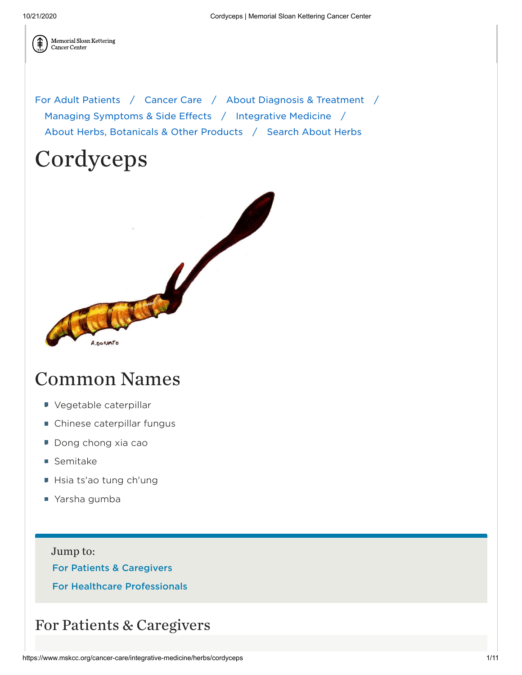

Memorial Sloan Kettering Cancer Center

For Adult [Patients](https://www.mskcc.org/patients-caregivers) / [Cancer](https://www.mskcc.org/cancer-care) Care / About Diagnosis & [Treatment](https://www.mskcc.org/cancer-care/diagnosis-treatment) / Managing Symptoms & [Side Effects](https://www.mskcc.org/cancer-care/diagnosis-treatment/symptom-management) / [Integrative Medicine](https://www.mskcc.org/cancer-care/diagnosis-treatment/symptom-management/integrative-medicine) / About Herbs, [Botanicals](https://www.mskcc.org/cancer-care/diagnosis-treatment/symptom-management/integrative-medicine/herbs) & Other Products / [Search](https://www.mskcc.org/cancer-care/diagnosis-treatment/symptom-management/integrative-medicine/herbs/search) About Herbs

# Cordyceps



## Common Names

- Vegetable caterpillar
- Chinese caterpillar fungus
- Dong chong xia cao
- Semitake
- Hsia ts'ao tung ch'ung
- Yarsha gumba

Jump to: For Patients & [Caregivers](#page-0-0) For Healthcare [Professionals](#page-2-0)

### <span id="page-0-0"></span>For Patients & Caregivers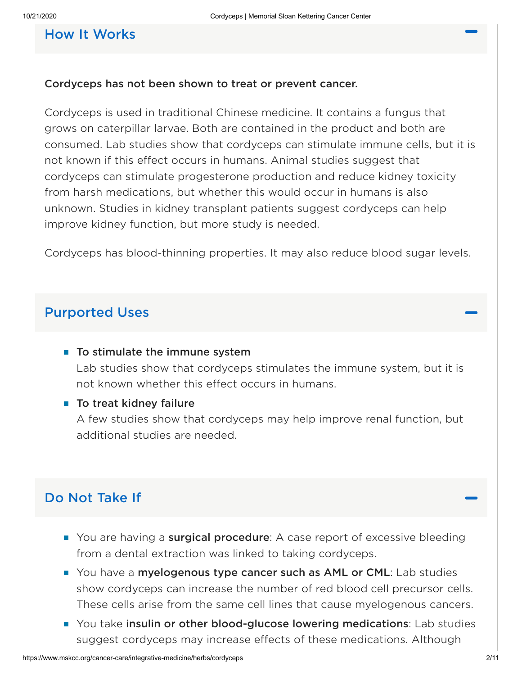#### How It Works

#### Cordyceps has not been shown to treat or prevent cancer.

Cordyceps is used in traditional Chinese medicine. It contains a fungus that grows on caterpillar larvae. Both are contained in the product and both are consumed. Lab studies show that cordyceps can stimulate immune cells, but it is not known if this effect occurs in humans. Animal studies suggest that cordyceps can stimulate progesterone production and reduce kidney toxicity from harsh medications, but whether this would occur in humans is also unknown. Studies in kidney transplant patients suggest cordyceps can help improve kidney function, but more study is needed.

Cordyceps has blood-thinning properties. It may also reduce blood sugar levels.

#### Purported Uses

#### $\blacksquare$  To stimulate the immune system

Lab studies show that cordyceps stimulates the immune system, but it is not known whether this effect occurs in humans.

#### $\blacksquare$  To treat kidney failure

A few studies show that cordyceps may help improve renal function, but additional studies are needed.

#### Do Not Take If

- You are having a surgical procedure: A case report of excessive bleeding from a dental extraction was linked to taking cordyceps.
- You have a myelogenous type cancer such as AML or CML: Lab studies show cordyceps can increase the number of red blood cell precursor cells. These cells arise from the same cell lines that cause myelogenous cancers.
- **T** You take insulin or other blood-glucose lowering medications: Lab studies suggest cordyceps may increase effects of these medications. Although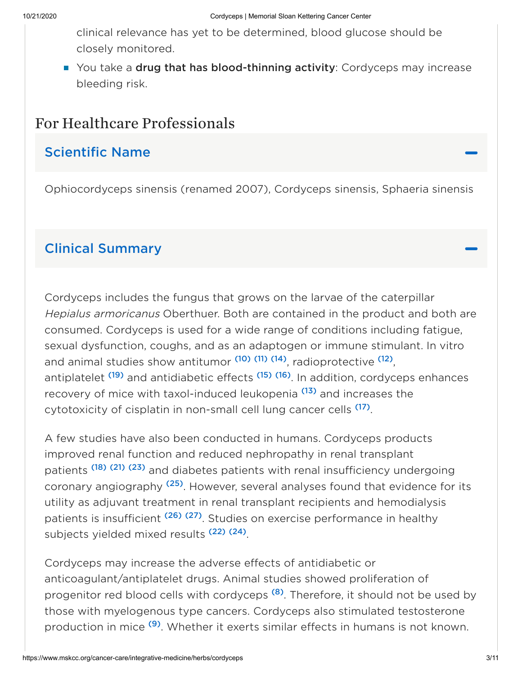clinical relevance has yet to be determined, blood glucose should be closely monitored.

You take a drug that has blood-thinning activity: Cordyceps may increase bleeding risk.

### <span id="page-2-0"></span>For Healthcare Professionals

### Scientific Name

Ophiocordyceps sinensis (renamed 2007), Cordyceps sinensis, Sphaeria sinensis

### Clinical Summary

Cordyceps includes the fungus that grows on the larvae of the caterpillar Hepialus armoricanus Oberthuer. Both are contained in the product and both are consumed. Cordyceps is used for a wide range of conditions including fatigue, sexual dysfunction, coughs, and as an adaptogen or immune stimulant. In vitro and animal studies show antitumor <sup>[\(10\)](#page-5-0)</sup> <sup>[\(11\)](#page-5-1)</sup> <sup>[\(14\)](#page-5-2)</sup>, radioprotective <sup>[\(12\)](#page-5-3)</sup>, antiplatelet <sup>[\(19\)](#page-6-0)</sup> and antidiabetic effects <sup>[\(15\)](#page-5-4)</sup> (<sup>16)</sup>. In addition, cordyceps enhances recovery of mice with taxol-induced leukopenia <sup>[\(13\)](#page-5-5)</sup> and increases the cytotoxicity of cisplatin in non-small cell lung cancer cells <sup>[\(17\)](#page-6-2)</sup>.

A few studies have also been conducted in humans. Cordyceps products improved renal function and reduced nephropathy in renal transplant patients<sup>[\(18\)](#page-6-3) [\(21\)](#page-6-4) [\(23\)](#page-6-5)</sup> and diabetes patients with renal insufficiency undergoing coronary angiography <sup>[\(25\)](#page-7-0)</sup>. However, several analyses found that evidence for its utility as adjuvant treatment in renal transplant recipients and hemodialysis patients is insufficient <sup>[\(26\)](#page-7-1)</sup> (<sup>27)</sup>. Studies on exercise performance in healthy subjects yielded mixed results<sup>[\(22\)](#page-6-6)[\(24\)](#page-6-7)</sup>.

Cordyceps may increase the adverse effects of antidiabetic or anticoagulant/antiplatelet drugs. Animal studies showed proliferation of progenitor red blood cells with cordyceps <sup>[\(8\)](#page-5-6)</sup>. Therefore, it should not be used by those with myelogenous type cancers. Cordyceps also stimulated testosterone production in mice <sup>[\(9\)](#page-5-7)</sup>. Whether it exerts similar effects in humans is not known.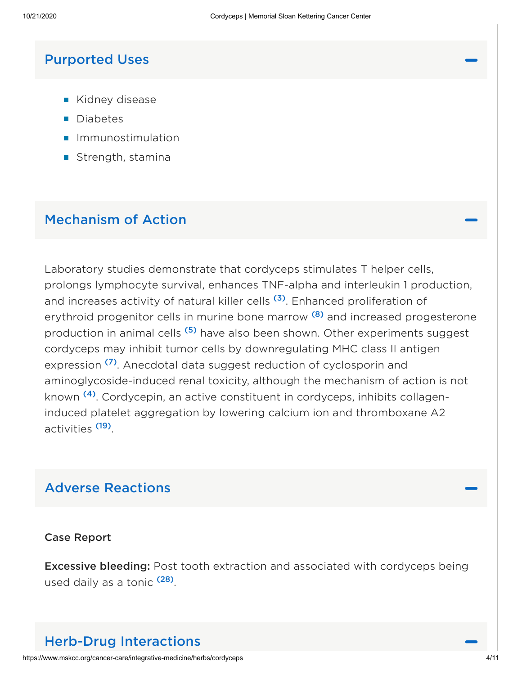#### Purported Uses

- Kidney disease
- **Diabetes**
- **Immunostimulation**
- Strength, stamina

### Mechanism of Action

Laboratory studies demonstrate that cordyceps stimulates T helper cells, prolongs lymphocyte survival, enhances TNF-alpha and interleukin 1 production, and increases activity of natural killer cells <sup>[\(3\)](#page-4-0)</sup>. Enhanced proliferation of erythroid progenitor cells in murine bone marrow <sup>[\(8\)](#page-5-6)</sup> and increased progesterone production in animal cells <sup>[\(5\)](#page-4-1)</sup> have also been shown. Other experiments suggest cordyceps may inhibit tumor celIs by downregulating MHC class II antigen expression <sup>[\(7\)](#page-5-8)</sup>. Anecdotal data suggest reduction of cyclosporin and aminoglycoside-induced renal toxicity, although the mechanism of action is not known <sup>[\(4\)](#page-4-2)</sup>. Cordycepin, an active constituent in cordyceps, inhibits collageninduced platelet aggregation by lowering calcium ion and thromboxane A2 activities <sup>[\(19\)](#page-6-0)</sup>.

### Adverse Reactions

#### Case Report

**Excessive bleeding:** Post tooth extraction and associated with cordyceps being used daily as a tonic <sup>[\(28\)](#page-7-3)</sup>.

### Herb-Drug Interactions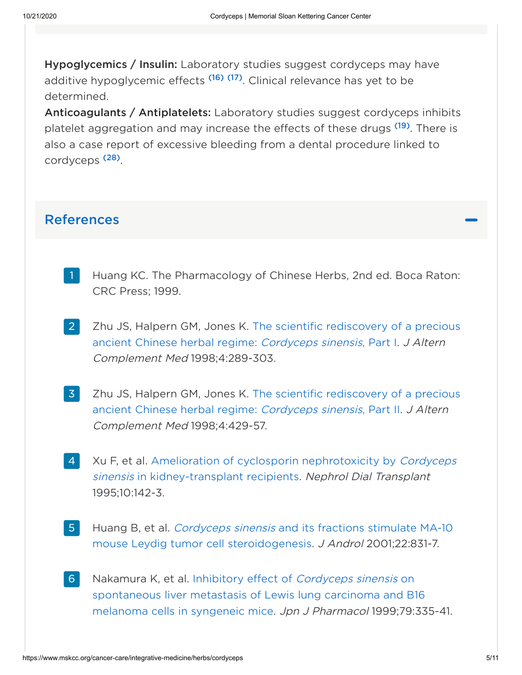Hypoglycemics / Insulin: Laboratory studies suggest cordyceps may have additive hypoglycemic effects <sup>[\(16\)](#page-6-1)</sup> [\(17\)](#page-6-2). Clinical relevance has yet to be determined.

Anticoagulants / Antiplatelets: Laboratory studies suggest cordyceps inhibits platelet aggregation and may increase the effects of these drugs <sup>[\(19\)](#page-6-0)</sup>. There is also a case report of excessive bleeding from a dental procedure linked to cordyceps<sup>[\(28\)](#page-7-3)</sup>.

#### References

- Huang KC. The Pharmacology of Chinese Herbs, 2nd ed. Boca Raton: CRC Press; 1999. 1
- Zhu JS, Halpern GM, Jones K. The scientific [rediscovery](https://pubmed.ncbi.nlm.nih.gov/9764768/) of a precious ancient Chinese herbal regime: Cordyceps sinensis, Part I. J Altern Complement Med 1998;4:289-303. 2
- <span id="page-4-0"></span>Zhu JS, Halpern GM, Jones K. The scientific [rediscovery](https://pubmed.ncbi.nlm.nih.gov/9884180/) of a precious ancient Chinese herbal regime: Cordyceps sinensis, Part II. J Altern Complement Med 1998;4:429-57. 3
- <span id="page-4-2"></span>Xu F, et al. Amelioration of cyclosporin nephrotoxicity by Cordyceps sinensis in [kidney-transplant](https://pubmed.ncbi.nlm.nih.gov/7724020/) recipients. Nephrol Dial Transplant 1995;10:142-3. 4
- <span id="page-4-1"></span>Huang B, et al. Cordyceps sinensis and its fractions stimulate MA-10 mouse Leydig tumor cell [steroidogenesis.](https://pubmed.ncbi.nlm.nih.gov/11545297/) J Androl 2001;22:831-7. 5
- Nakamura K, et al. Inhibitory effect of Cordyceps sinensis on [spontaneous](https://pubmed.ncbi.nlm.nih.gov/10230862/) liver metastasis of Lewis lung carcinoma and B16 melanoma cells in syngeneic mice. Jpn J Pharmacol 1999;79:335-41. 6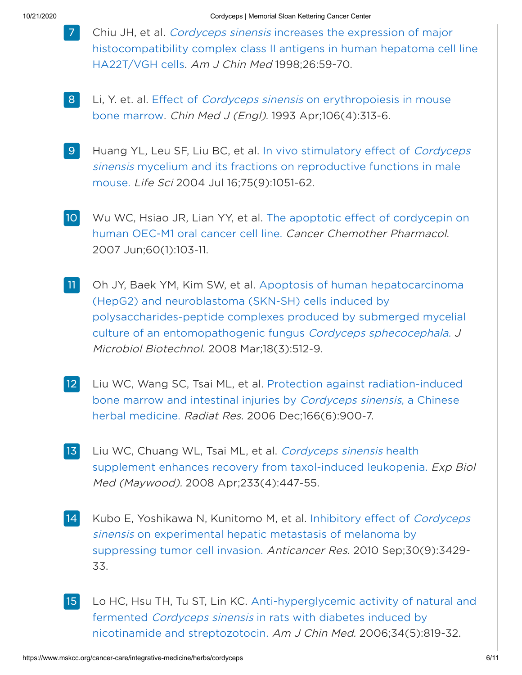- <span id="page-5-8"></span>Chiu JH, et al. Cordyceps sinensis increases the expression of major [histocompatibility](https://pubmed.ncbi.nlm.nih.gov/9799968/) complex class II antigens in human hepatoma cell line HA22T/VGH cells. Am J Chin Med 1998;26:59-70. 7
- <span id="page-5-6"></span>Li, Y. et. al. Effect of *Cordyceps sinensis* on erythropoiesis in mouse bone marrow. Chin Med J (Engl). 1993 [Apr;106\(4\):313-6.](https://pubmed.ncbi.nlm.nih.gov/8325161/) 8
- <span id="page-5-7"></span>Huang YL, Leu SF, Liu BC, et al. In vivo stimulatory effect of Cordyceps sinensis mycelium and its fractions on reproductive functions in male mouse. Life Sci 2004 Jul [16;75\(9\):1051-62.](https://pubmed.ncbi.nlm.nih.gov/15207653/) 9
- <span id="page-5-0"></span>Wu WC, Hsiao JR, Lian YY, et al. The apoptotic effect of [cordycepin](http://www.ncbi.nlm.nih.gov/pubmed/17031645?ordinalpos=2&itool=EntrezSystem2.PEntrez.Pubmed.Pubmed_ResultsPanel.Pubmed_RVDocSum) on human OEC-M1 oral cancer cell line. Cancer Chemother Pharmacol. 2007 Jun;60(1):103-11. 10
- <span id="page-5-1"></span>Oh JY, Baek YM, Kim SW, et al. Apoptosis of human hepatocarcinoma (HepG2) and neuroblastoma (SKN-SH) cells induced by [polysaccharides-peptide](http://www.ncbi.nlm.nih.gov/pubmed/18388470?ordinalpos=4&itool=EntrezSystem2.PEntrez.Pubmed.Pubmed_ResultsPanel.Pubmed_RVDocSum) complexes produced by submerged mycelial culture of an entomopathogenic fungus Cordyceps sphecocephala. J Microbiol Biotechnol. 2008 Mar;18(3):512-9. 11
- <span id="page-5-3"></span>Liu WC, Wang SC, Tsai ML, et al. Protection against radiation-induced bone marrow and intestinal injuries by Cordyceps sinensis, a Chinese herbal medicine. Radiat Res. 2006 [Dec;166\(6\):900-7.](http://www.ncbi.nlm.nih.gov/pubmed/17149981?ordinalpos=1&itool=EntrezSystem2.PEntrez.Pubmed.Pubmed_ResultsPanel.Pubmed_RVDocSum) 12
- <span id="page-5-5"></span>Liu WC, Chuang WL, Tsai ML, et al. Cordyceps sinensis health supplement enhances recovery from [taxol-induced](http://www.ncbi.nlm.nih.gov/pubmed/18367634?ordinalpos=3&itool=EntrezSystem2.PEntrez.Pubmed.Pubmed_ResultsPanel.Pubmed_RVDocSum) leukopenia. Exp Biol Med (Maywood). 2008 Apr;233(4):447-55. 13
- <span id="page-5-2"></span>Kubo E, Yoshikawa N, Kunitomo M, et al. Inhibitory effect of Cordyceps sinensis on experimental hepatic metastasis of melanoma by suppressing tumor cell invasion. Anticancer Res. 2010 [Sep;30\(9\):3429-](https://pubmed.ncbi.nlm.nih.gov/20944118/) 33. 14
- <span id="page-5-4"></span>Lo HC, Hsu TH, Tu ST, Lin KC. [Anti-hyperglycemic](https://pubmed.ncbi.nlm.nih.gov/17080547/) activity of natural and fermented Cordyceps sinensis in rats with diabetes induced by nicotinamide and streptozotocin. Am J Chin Med. 2006;34(5):819-32. 15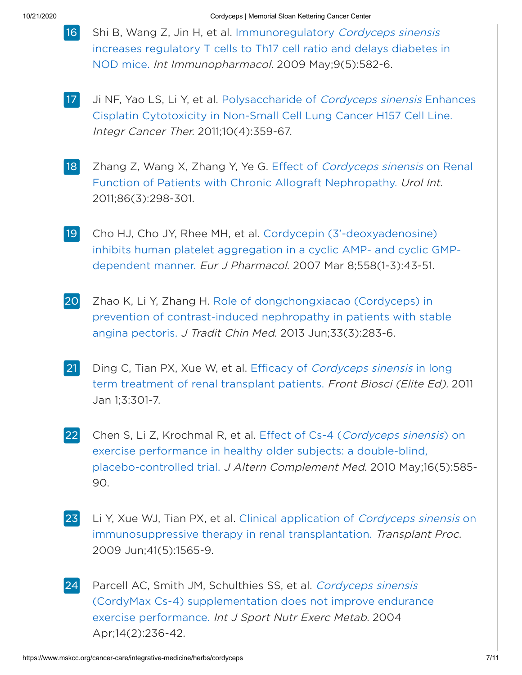<span id="page-6-1"></span>16

Shi B, Wang Z, Jin H, et al. [Immunoregulatory](https://pubmed.ncbi.nlm.nih.gov/19557879/) Cordyceps sinensis increases regulatory T cells to Th17 cell ratio and delays diabetes in NOD mice. Int Immunopharmacol. 2009 May;9(5):582-6.

- <span id="page-6-2"></span>Ji NF, Yao LS, Li Y, et al. [Polysaccharide](https://pubmed.ncbi.nlm.nih.gov/21382957/) of Cordyceps sinensis Enhances Cisplatin Cytotoxicity in Non-Small Cell Lung Cancer H157 Cell Line. Integr Cancer Ther. 2011;10(4):359-67. 17
- <span id="page-6-3"></span>Zhang Z, Wang X, Zhang Y, Ye G. Effect of Cordyceps sinensis on Renal Function of Patients with Chronic Allograft [Nephropathy.](https://pubmed.ncbi.nlm.nih.gov/21335937/) Urol Int. 2011;86(3):298-301. 18
- <span id="page-6-0"></span>Cho HJ, Cho JY, Rhee MH, et al. Cordycepin [\(3'-deoxyadenosine\)](https://pubmed.ncbi.nlm.nih.gov/17229422/) inhibits human platelet aggregation in a cyclic AMP- and cyclic GMPdependent manner. Eur J Pharmacol. 2007 Mar 8;558(1-3):43-51. 19
- Zhao K, Li Y, Zhang H. Role of [dongchongxiacao](https://pubmed.ncbi.nlm.nih.gov/24024319/) (Cordyceps) in prevention of contrast-induced nephropathy in patients with stable angina pectoris. J Tradit Chin Med. 2013 Jun;33(3):283-6. 20
- <span id="page-6-4"></span>Ding C, Tian PX, Xue W, et al. Efficacy of Cordyceps sinensis in long term treatment of renal [transplant](https://pubmed.ncbi.nlm.nih.gov/21196310/) patients. Front Biosci (Elite Ed). 2011 Jan 1;3:301-7. 21
- <span id="page-6-6"></span>Chen S, Li Z, Krochmal R, et al. Effect of Cs-4 (Cordyceps sinensis) on exercise performance in healthy older subjects: a double-blind, [placebo-controlled](https://pubmed.ncbi.nlm.nih.gov/20804368/) trial. J Altern Complement Med. 2010 May;16(5):585- 90. 22
- <span id="page-6-5"></span>Li Y, Xue WJ, Tian PX, et al. Clinical application of Cordyceps sinensis on [immunosuppressive](https://pubmed.ncbi.nlm.nih.gov/19545680/) therapy in renal transplantation. Transplant Proc. 2009 Jun;41(5):1565-9. 23
- <span id="page-6-7"></span>Parcell AC, Smith JM, Schulthies SS, et al. Cordyceps sinensis (CordyMax Cs-4) [supplementation](https://pubmed.ncbi.nlm.nih.gov/15118196/) does not improve endurance exercise performance. Int J Sport Nutr Exerc Metab. 2004 Apr;14(2):236-42. 24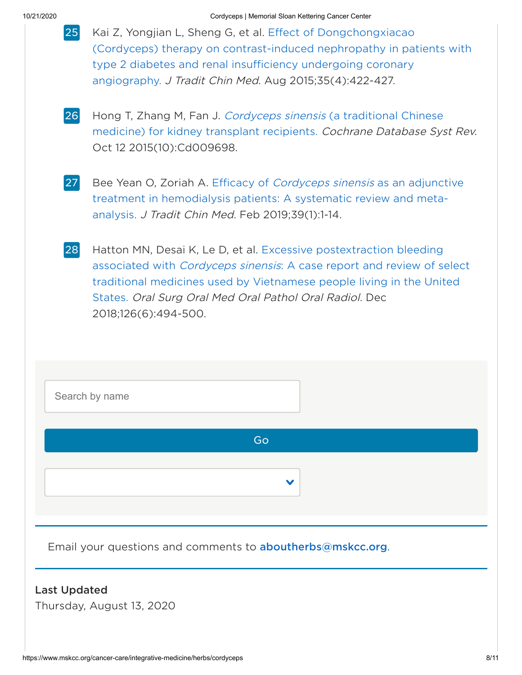<span id="page-7-0"></span>

| 25 Kai Z, Yongjian L, Sheng G, et al. Effect of Dongchongxiacao      |
|----------------------------------------------------------------------|
| (Cordyceps) therapy on contrast-induced nephropathy in patients with |
| type 2 diabetes and renal insufficiency undergoing coronary          |
| angiography. J Tradit Chin Med. Aug 2015;35(4):422-427.              |

- <span id="page-7-1"></span>Hong T, Zhang M, Fan J. Cordyceps sinensis (a traditional Chinese medicine) for kidney transplant [recipients.](https://pubmed.ncbi.nlm.nih.gov/26457607/) Cochrane Database Syst Rev. Oct 12 2015(10):Cd009698. 26
- <span id="page-7-2"></span>Bee Yean O, Zoriah A. Efficacy of Cordyceps sinensis as an adjunctive treatment in hemodialysis patients: A systematic review and metaanalysis. J Tradit Chin Med. Feb [2019;39\(1\):1-14.](https://pubmed.ncbi.nlm.nih.gov/32186018/) 27
- <span id="page-7-3"></span>Hatton MN, Desai K, Le D, et al. Excessive [postextraction](https://pubmed.ncbi.nlm.nih.gov/30195658/) bleeding associated with Cordyceps sinensis: A case report and review of select traditional medicines used by Vietnamese people living in the United States. Oral Surg Oral Med Oral Pathol Oral Radiol. Dec 2018;126(6):494-500. 28

| Search by name                                             |              |
|------------------------------------------------------------|--------------|
| Go                                                         |              |
|                                                            | $\checkmark$ |
| Email your questions and comments to aboutherbs@mskcc.org. |              |
| <b>Last Updated</b><br>Thursday, August 13, 2020           |              |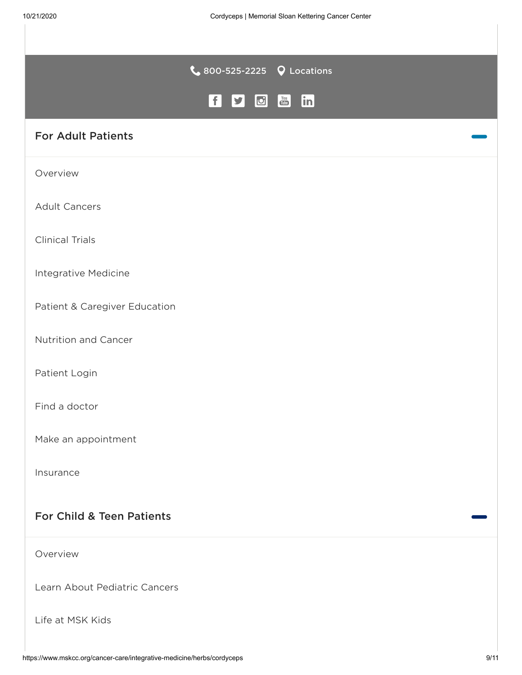|                               | $\bullet$ 800-525-2225 $\bullet$ Locations         |                                                                                                     |  |
|-------------------------------|----------------------------------------------------|-----------------------------------------------------------------------------------------------------|--|
|                               | f <br>$\boxed{\textcolor{blue}{\mathcal{O}}}$<br>y | $\begin{bmatrix} \gamma_{01} \\ \overline{\text{triv}} \end{bmatrix}$<br>$\left[\mathsf{in}\right]$ |  |
| <b>For Adult Patients</b>     |                                                    |                                                                                                     |  |
| Overview                      |                                                    |                                                                                                     |  |
| <b>Adult Cancers</b>          |                                                    |                                                                                                     |  |
| <b>Clinical Trials</b>        |                                                    |                                                                                                     |  |
| Integrative Medicine          |                                                    |                                                                                                     |  |
| Patient & Caregiver Education |                                                    |                                                                                                     |  |
| Nutrition and Cancer          |                                                    |                                                                                                     |  |
| Patient Login                 |                                                    |                                                                                                     |  |
| Find a doctor                 |                                                    |                                                                                                     |  |
| Make an appointment           |                                                    |                                                                                                     |  |
| Insurance                     |                                                    |                                                                                                     |  |
| For Child & Teen Patients     |                                                    |                                                                                                     |  |
| Overview                      |                                                    |                                                                                                     |  |
| Learn About Pediatric Cancers |                                                    |                                                                                                     |  |

Life at [MSK](https://www.mskcc.org/pediatrics/experience/life-pediatrics) Kids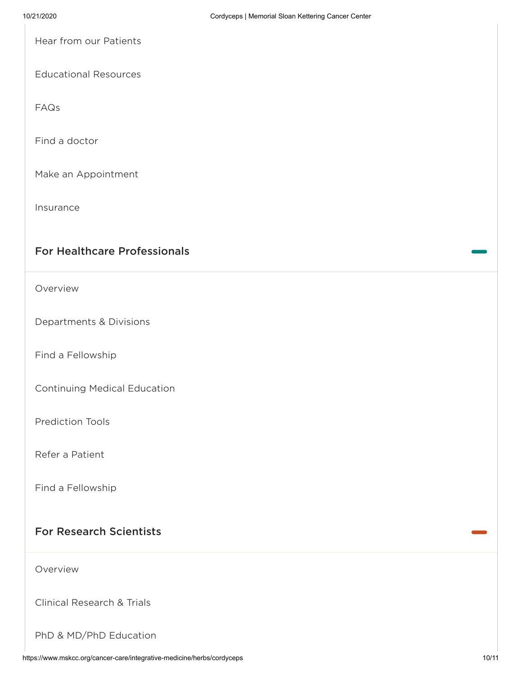Hear from our [Patients](https://www.mskcc.org/pediatrics/experience/patient-stories)

[Educational](https://www.mskcc.org/cancer-care/patient-education) Resources

[FAQs](https://www.mskcc.org/pediatrics/experience/your-first-appointment/faqs)

Find a [doctor](https://www.mskcc.org/doctor)

Make an [Appointment](https://www.mskcc.org/experience/become-patient/appointment)

[Insurance](https://www.mskcc.org/insurance-assistance/insurance-information)

#### For Healthcare Professionals

[Overview](https://www.mskcc.org/healthcare-professionals)

[Departments](https://www.mskcc.org/departments-divisions) & Divisions

Find a [Fellowship](https://www.mskcc.org/hcp-education-training/fellowships)

[Continuing](https://www.mskcc.org/hcp-education-training/cme) Medical Education

[Prediction](https://www.mskcc.org/nomograms) Tools

Refer a [Patient](https://www.mskcc.org/referring-physicians/patients)

Find a [Fellowship](https://www.mskcc.org/hcp-education-training/fellowships)

#### For Research Scientists

[Overview](https://www.mskcc.org/research-scientists)

Clinical [Research](https://www.mskcc.org/research-areas/clinical-research-trials) & Trials

PhD & MD/PhD [Education](https://www.mskcc.org/education-training/phd-md)